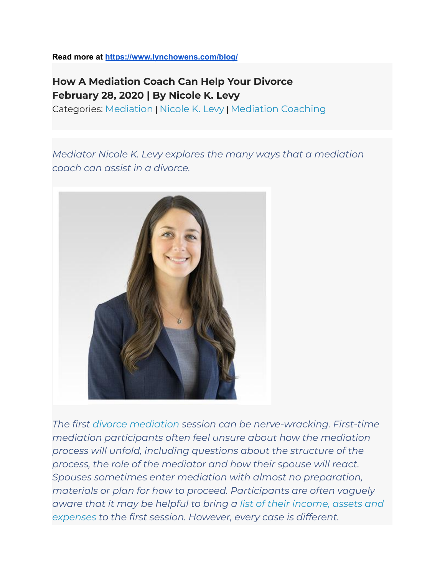**Read more at <https://www.lynchowens.com/blog/>**

## **How A Mediation Coach Can Help Your Divorce February 28, 2020 | By Nicole K. Levy**

Categories: [Mediation](https://madivorcemediators.com/blog/) | [Nicole](https://www.lynchowens.com/blog/categories/nicole-k-levy/) K. Levy | [Mediation](https://www.lynchowens.com/blog/categories/mediation-coaching/) Coaching

*Mediator Nicole K. Levy explores the many ways that a mediation coach can assist in a divorce.*



*The first divorce [mediation](https://madivorcemediators.com/divorce-family-mediation-services/) session can be nerve-wracking. First-time mediation participants often feel unsure about how the mediation process will unfold, including questions about the structure of the process, the role of the mediator and how their spouse will react. Spouses sometimes enter mediation with almost no preparation, materials or plan for how to proceed. Participants are often vaguely aware that it may be helpful to bring a list of their [income,](https://madivorcemediators.com/what-3-things-should-i-bring-to-my-first-divorce-mediation-session/) assets and [expenses](https://madivorcemediators.com/what-3-things-should-i-bring-to-my-first-divorce-mediation-session/) to the first session. However, every case is different.*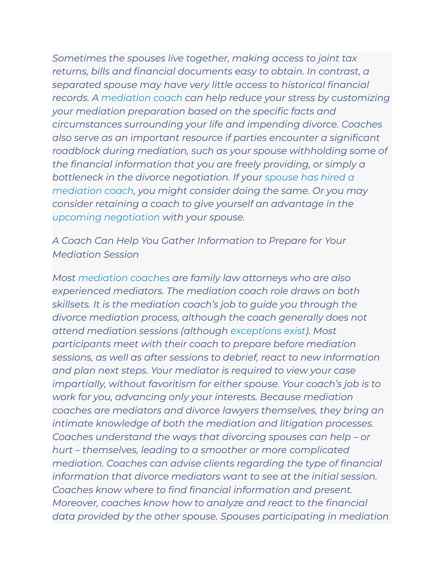*Sometimes the spouses live together, making access to joint tax returns, bills and financial documents easy to obtain. In contrast, a separated spouse may have very little access to historical financial records. A [mediation](https://madivorcemediators.com/mediation-coaching/) coach can help reduce your stress by customizing your mediation preparation based on the specific facts and circumstances surrounding your life and impending divorce. Coaches also serve as an important resource if parties encounter a significant roadblock during mediation, such as your spouse withholding some of the financial information that you are freely providing, or simply a bottleneck in the divorce negotiation. If your [spouse](https://madivorcemediators.com/my-spouse-hired-a-divorce-mediation-coach-what-should-i-do/) has hired a [mediation](https://madivorcemediators.com/my-spouse-hired-a-divorce-mediation-coach-what-should-i-do/) coach, you might consider doing the same. Or you may consider retaining a coach to give yourself an advantage in the upcoming [negotiation](https://madivorcemediators.com/ufaqs/how-do-i-negotiate-my-divorce-through-mediation/) with your spouse.*

*A Coach Can Help You Gather Information to Prepare for Your Mediation Session*

*Most [mediation](https://www.lynchowens.com/divorce-family-law/mediation-coaching/) coaches are family law attorneys who are also experienced mediators. The mediation coach role draws on both skillsets. It is the mediation coach's job to guide you through the divorce mediation process, although the coach generally does not attend mediation sessions (although [exceptions](https://madivorcemediators.com/increased-role-mediation-coaches-shuttle-mediation/) exist). Most participants meet with their coach to prepare before mediation sessions, as well as after sessions to debrief, react to new information and plan next steps. Your mediator is required to view your case impartially, without favoritism for either spouse. Your coach's job is to work for you, advancing only your interests. Because mediation coaches are mediators and divorce lawyers themselves, they bring an intimate knowledge of both the mediation and litigation processes. Coaches understand the ways that divorcing spouses can help – or hurt – themselves, leading to a smoother or more complicated mediation. Coaches can advise clients regarding the type of financial information that divorce mediators want to see at the initial session. Coaches know where to find financial information and present. Moreover, coaches know how to analyze and react to the financial data provided by the other spouse. Spouses participating in mediation*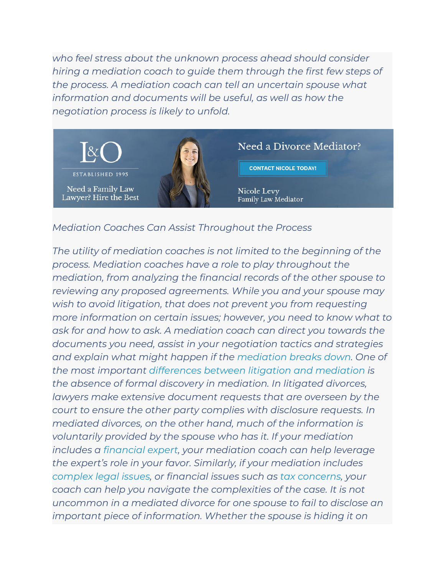*who feel stress about the unknown process ahead should consider hiring a mediation coach to guide them through the first few steps of the process. A mediation coach can tell an uncertain spouse what information and documents will be useful, as well as how the negotiation process is likely to unfold.*



## *Mediation Coaches Can Assist Throughout the Process*

*The utility of mediation coaches is not limited to the beginning of the process. Mediation coaches have a role to play throughout the mediation, from analyzing the financial records of the other spouse to reviewing any proposed agreements. While you and your spouse may wish to avoid litigation, that does not prevent you from requesting more information on certain issues; however, you need to know what to ask for and how to ask. A mediation coach can direct you towards the documents you need, assist in your negotiation tactics and strategies and explain what might happen if the [mediation](https://www.youtube.com/watch?v=f5hJupb52Rk&list=PLo5V9xzxAdBu2QWHDRa3um_9VaOuZSW4_&index=2&t=0s) breaks down. One of the most important [differences](https://madivorcemediators.com/comparison-divorce-mediation-vs-divorce-litigation/) between litigation and mediation is the absence of formal discovery in mediation. In litigated divorces, lawyers make extensive document requests that are overseen by the court to ensure the other party complies with disclosure requests. In mediated divorces, on the other hand, much of the information is voluntarily provided by the spouse who has it. If your mediation includes a [financial](https://madivorcemediators.com/how-to-use-financial-experts-in-divorce-mediation/) expert, your mediation coach can help leverage the expert's role in your favor. Similarly, if your mediation includes [complex](https://madivorcemediators.com/ufaqs/how-can-i-understand-legal-issues-in-my-divorce-mediation/) legal issues, or financial issues such as tax [concerns](https://madivorcemediators.com/ufaqs/does-my-divorce-mediator-need-to-understand-tax-law/), your coach can help you navigate the complexities of the case. It is not uncommon in a mediated divorce for one spouse to fail to disclose an important piece of information. Whether the spouse is hiding it on*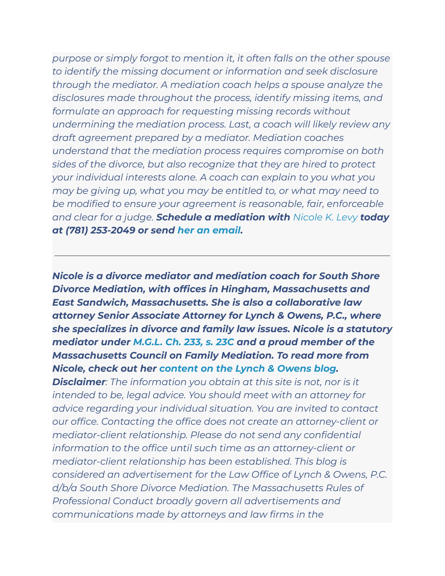*purpose or simply forgot to mention it, it often falls on the other spouse to identify the missing document or information and seek disclosure through the mediator. A mediation coach helps a spouse analyze the disclosures made throughout the process, identify missing items, and formulate an approach for requesting missing records without undermining the mediation process. Last, a coach will likely review any draft agreement prepared by a mediator. Mediation coaches understand that the mediation process requires compromise on both sides of the divorce, but also recognize that they are hired to protect your individual interests alone. A coach can explain to you what you may be giving up, what you may be entitled to, or what may need to be modified to ensure your agreement is reasonable, fair, enforceable and clear for a judge. Schedule a mediation with [Nicole](https://www.lynchowens.com/attorneys/nicole-k-levy/) K. Levy today at (781) 253-2049 or send her an [email](https://madivorcemediators.com/contact/).*

*Nicole is a divorce mediator and mediation coach for South Shore Divorce Mediation, with offices in Hingham, Massachusetts and East Sandwich, Massachusetts. She is also a collaborative law attorney Senior Associate Attorney for Lynch & Owens, P.C., where she specializes in divorce and family law issues. Nicole is a statutory mediator under [M.G.L.](https://malegislature.gov/Laws/GeneralLaws/PartIII/TitleII/Chapter233/Section23c) Ch. 233, s. 23C and a proud member of the Massachusetts Council on Family Mediation. To read more from Nicole, check out her [content](https://www.lynchowens.com/site-search/?C=nicole+levy) on the Lynch & Owens blog. Disclaimer: The information you obtain at this site is not, nor is it intended to be, legal advice. You should meet with an attorney for advice regarding your individual situation. You are invited to contact our office. Contacting the office does not create an attorney-client or mediator-client relationship. Please do not send any confidential information to the office until such time as an attorney-client or mediator-client relationship has been established. This blog is considered an advertisement for the Law Office of Lynch & Owens, P.C. d/b/a South Shore Divorce Mediation. The Massachusetts Rules of Professional Conduct broadly govern all advertisements and communications made by attorneys and law firms in the*